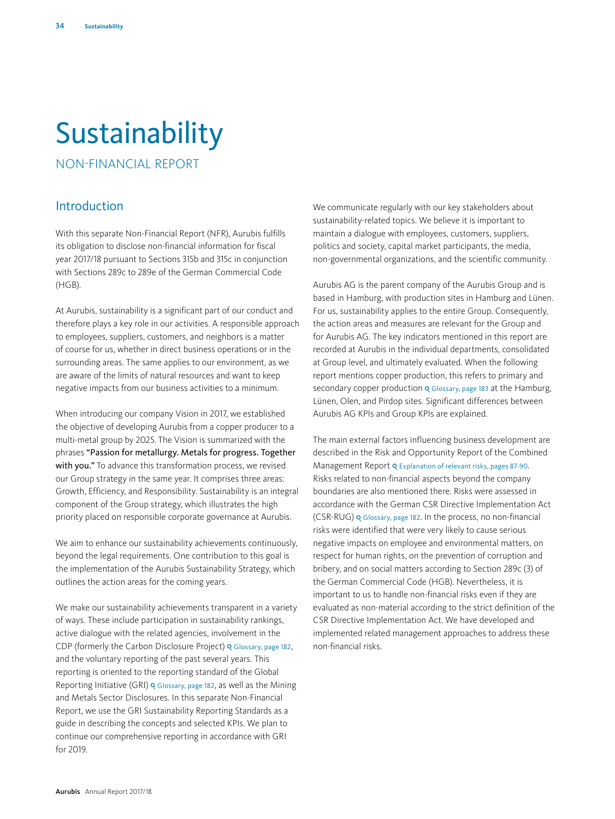# **Sustainability**

NON-FINANCIAL REPORT

# Introduction

With this separate Non-Financial Report (NFR), Aurubis fulfills its obligation to disclose non-financial information for fiscal year 2017/18 pursuant to Sections 315b and 315c in conjunction with Sections 289c to 289e of the German Commercial Code (HGB).

At Aurubis, sustainability is a significant part of our conduct and therefore plays a key role in our activities. A responsible approach to employees, suppliers, customers, and neighbors is a matter of course for us, whether in direct business operations or in the surrounding areas. The same applies to our environment, as we are aware of the limits of natural resources and want to keep negative impacts from our business activities to a minimum.

When introducing our company Vision in 2017, we established the objective of developing Aurubis from a copper producer to a multi-metal group by 2025. The Vision is summarized with the phrases "Passion for metallurgy. Metals for progress. Together with you." To advance this transformation process, we revised our Group strategy in the same year. It comprises three areas: Growth, Efficiency, and Responsibility. Sustainability is an integral component of the Group strategy, which illustrates the high priority placed on responsible corporate governance at Aurubis.

We aim to enhance our sustainability achievements continuously, beyond the legal requirements. One contribution to this goal is the implementation of the Aurubis Sustainability Strategy, which outlines the action areas for the coming years.

We make our sustainability achievements transparent in a variety of ways. These include participation in sustainability rankings, active dialogue with the related agencies, involvement in the CDP (formerly the Carbon Disclosure Project) o Glossary, page 182, and the voluntary reporting of the past several years. This reporting is oriented to the reporting standard of the Global Reporting Initiative (GRI) Q Glossary, page 182, as well as the Mining and Metals Sector Disclosures. In this separate Non-Financial Report, we use the GRI Sustainability Reporting Standards as a guide in describing the concepts and selected KPIs. We plan to continue our comprehensive reporting in accordance with GRI for 2019.

We communicate regularly with our key stakeholders about sustainability-related topics. We believe it is important to maintain a dialogue with employees, customers, suppliers, politics and society, capital market participants, the media, non-governmental organizations, and the scientific community.

Aurubis AG is the parent company of the Aurubis Group and is based in Hamburg, with production sites in Hamburg and Lünen. For us, sustainability applies to the entire Group. Consequently, the action areas and measures are relevant for the Group and for Aurubis AG. The key indicators mentioned in this report are recorded at Aurubis in the individual departments, consolidated at Group level, and ultimately evaluated. When the following report mentions copper production, this refers to primary and secondary copper production Q Glossary, page 183 at the Hamburg, Lünen, Olen, and Pirdop sites. Significant differences between Aurubis AG KPIs and Group KPIs are explained.

The main external factors influencing business development are described in the Risk and Opportunity Report of the Combined Management Report Q Explanation of relevant risks, pages 87-90. Risks related to non-financial aspects beyond the company boundaries are also mentioned there. Risks were assessed in accordance with the German CSR Directive Implementation Act (CSR-RUG) Glossary, page 182. In the process, no non-financial risks were identified that were very likely to cause serious negative impacts on employee and environmental matters, on respect for human rights, on the prevention of corruption and bribery, and on social matters according to Section 289c (3) of the German Commercial Code (HGB). Nevertheless, it is important to us to handle non-financial risks even if they are evaluated as non-material according to the strict definition of the CSR Directive Implementation Act. We have developed and implemented related management approaches to address these non-financial risks.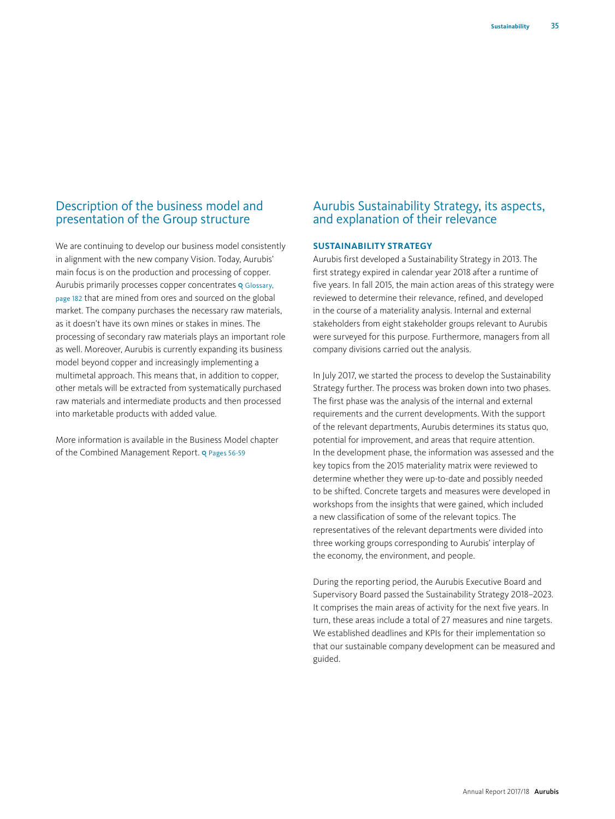# Description of the business model and presentation of the Group structure

We are continuing to develop our business model consistently in alignment with the new company Vision. Today, Aurubis' main focus is on the production and processing of copper. Aurubis primarily processes copper concentrates Q Glossary, page 182 that are mined from ores and sourced on the global market. The company purchases the necessary raw materials, as it doesn't have its own mines or stakes in mines. The processing of secondary raw materials plays an important role as well. Moreover, Aurubis is currently expanding its business model beyond copper and increasingly implementing a multimetal approach. This means that, in addition to copper, other metals will be extracted from systematically purchased raw materials and intermediate products and then processed into marketable products with added value.

More information is available in the Business Model chapter of the Combined Management Report. Q Pages 56-59

# Aurubis Sustainability Strategy, its aspects, and explanation of their relevance

## **SUSTAINABILITY STRATEGY**

Aurubis first developed a Sustainability Strategy in 2013. The first strategy expired in calendar year 2018 after a runtime of five years. In fall 2015, the main action areas of this strategy were reviewed to determine their relevance, refined, and developed in the course of a materiality analysis. Internal and external stakeholders from eight stakeholder groups relevant to Aurubis were surveyed for this purpose. Furthermore, managers from all company divisions carried out the analysis.

In July 2017, we started the process to develop the Sustainability Strategy further. The process was broken down into two phases. The first phase was the analysis of the internal and external requirements and the current developments. With the support of the relevant departments, Aurubis determines its status quo, potential for improvement, and areas that require attention. In the development phase, the information was assessed and the key topics from the 2015 materiality matrix were reviewed to determine whether they were up-to-date and possibly needed to be shifted. Concrete targets and measures were developed in workshops from the insights that were gained, which included a new classification of some of the relevant topics. The representatives of the relevant departments were divided into three working groups corresponding to Aurubis' interplay of the economy, the environment, and people.

During the reporting period, the Aurubis Executive Board and Supervisory Board passed the Sustainability Strategy 2018–2023. It comprises the main areas of activity for the next five years. In turn, these areas include a total of 27 measures and nine targets. We established deadlines and KPIs for their implementation so that our sustainable company development can be measured and guided.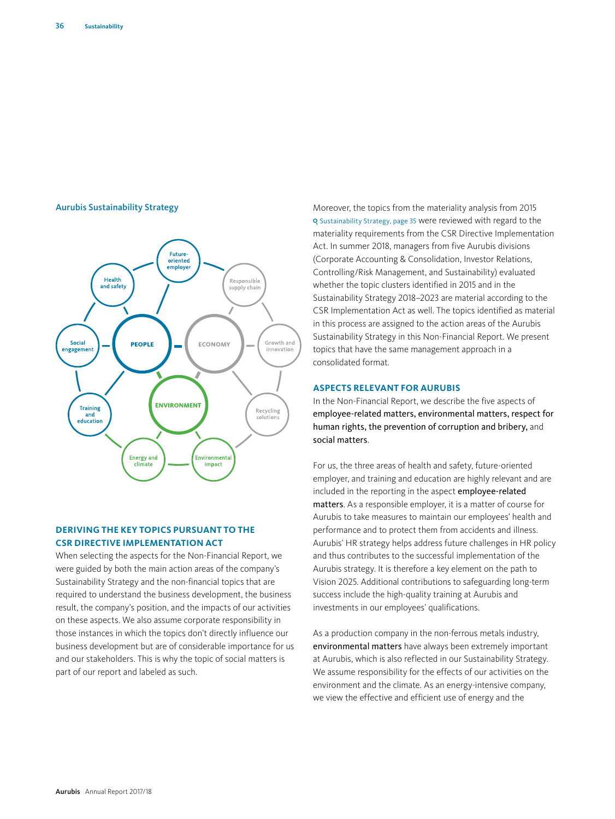#### Aurubis Sustainability Strategy



## **DERIVING THE KEY TOPICS PURSUANT TO THE CSR DIRECTIVE IMPLEMENTATION ACT**

When selecting the aspects for the Non-Financial Report, we were guided by both the main action areas of the company's Sustainability Strategy and the non-financial topics that are required to understand the business development, the business result, the company's position, and the impacts of our activities on these aspects. We also assume corporate responsibility in those instances in which the topics don't directly influence our business development but are of considerable importance for us and our stakeholders. This is why the topic of social matters is part of our report and labeled as such.

Moreover, the topics from the materiality analysis from 2015 Sustainability Strategy, page 35 were reviewed with regard to the materiality requirements from the CSR Directive Implementation Act. In summer 2018, managers from five Aurubis divisions (Corporate Accounting & Consolidation, Investor Relations, Controlling/Risk Management, and Sustainability) evaluated whether the topic clusters identified in 2015 and in the Sustainability Strategy 2018–2023 are material according to the CSR Implementation Act as well. The topics identified as material in this process are assigned to the action areas of the Aurubis Sustainability Strategy in this Non-Financial Report. We present topics that have the same management approach in a consolidated format.

## **ASPECTS RELEVANT FOR AURUBIS**

In the Non-Financial Report, we describe the five aspects of employee-related matters, environmental matters, respect for human rights, the prevention of corruption and bribery, and social matters.

For us, the three areas of health and safety, future-oriented employer, and training and education are highly relevant and are included in the reporting in the aspect employee-related matters. As a responsible employer, it is a matter of course for Aurubis to take measures to maintain our employees' health and performance and to protect them from accidents and illness. Aurubis' HR strategy helps address future challenges in HR policy and thus contributes to the successful implementation of the Aurubis strategy. It is therefore a key element on the path to Vision 2025. Additional contributions to safeguarding long-term success include the high-quality training at Aurubis and investments in our employees' qualifications.

As a production company in the non-ferrous metals industry, environmental matters have always been extremely important at Aurubis, which is also reflected in our Sustainability Strategy. We assume responsibility for the effects of our activities on the environment and the climate. As an energy-intensive company, we view the effective and efficient use of energy and the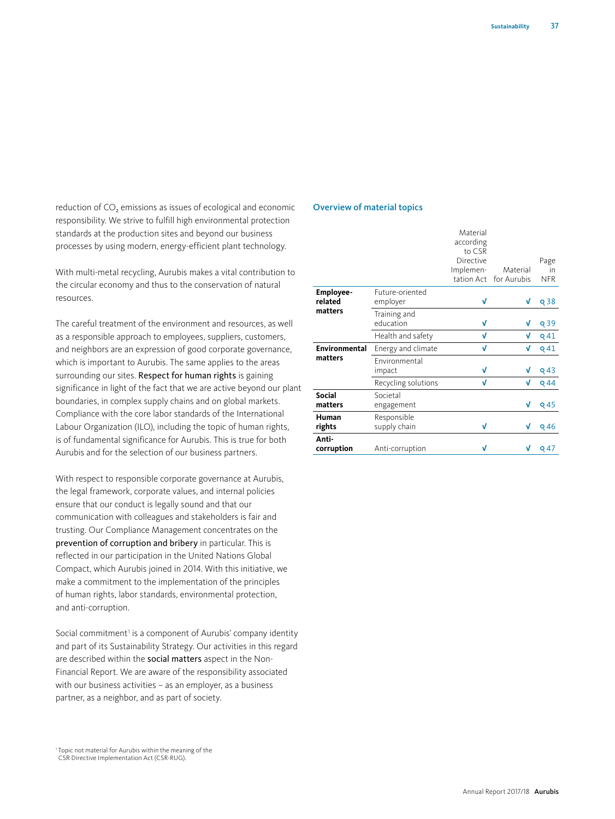reduction of CO<sub>2</sub> emissions as issues of ecological and economic responsibility. We strive to fulfill high environmental protection standards at the production sites and beyond our business processes by using modern, energy-efficient plant technology.

With multi-metal recycling, Aurubis makes a vital contribution to the circular economy and thus to the conservation of natural resources.

The careful treatment of the environment and resources, as well as a responsible approach to employees, suppliers, customers, and neighbors are an expression of good corporate governance, which is important to Aurubis. The same applies to the areas surrounding our sites. Respect for human rights is gaining significance in light of the fact that we are active beyond our plant boundaries, in complex supply chains and on global markets. Compliance with the core labor standards of the International Labour Organization (ILO), including the topic of human rights, is of fundamental significance for Aurubis. This is true for both Aurubis and for the selection of our business partners.

With respect to responsible corporate governance at Aurubis, the legal framework, corporate values, and internal policies ensure that our conduct is legally sound and that our communication with colleagues and stakeholders is fair and trusting. Our Compliance Management concentrates on the prevention of corruption and bribery in particular. This is reflected in our participation in the United Nations Global Compact, which Aurubis joined in 2014. With this initiative, we make a commitment to the implementation of the principles of human rights, labor standards, environmental protection, and anti-corruption.

Social commitment<sup>1</sup> is a component of Aurubis' company identity and part of its Sustainability Strategy. Our activities in this regard are described within the social matters aspect in the Non-Financial Report. We are aware of the responsibility associated with our business activities – as an employer, as a business partner, as a neighbor, and as part of society.

## Overview of material topics

|                      |                                | Material<br>according                          |                         |                          |
|----------------------|--------------------------------|------------------------------------------------|-------------------------|--------------------------|
|                      |                                | to CSR<br>Directive<br>Implemen-<br>tation Act | Material<br>for Aurubis | Page<br>in<br><b>NFR</b> |
| Employee-<br>related | Future-oriented<br>employer    | V                                              | V                       | Q <sub>38</sub>          |
| matters              | Training and<br>education      | V                                              | V                       | Q39                      |
|                      | Health and safety              | V                                              | V                       | Q <sub>41</sub>          |
| Environmental        | Energy and climate             | V                                              | V                       | <b>Q41</b>               |
| matters              | <b>Fnvironmental</b><br>impact | V                                              | V                       | $Q$ 43                   |
|                      | Recycling solutions            | V                                              | V                       | $Q$ 44                   |
| Social<br>matters    | Societal<br>engagement         |                                                | V                       | Q45                      |
| Human<br>rights      | Responsible<br>supply chain    | V                                              | V                       | Q46                      |
| Anti-<br>corruption  | Anti-corruption                | V                                              |                         | Q 47                     |

<sup>&</sup>lt;sup>1</sup> Topic not material for Aurubis within the meaning of the CSR Directive Implementation Act (CSR-RUG).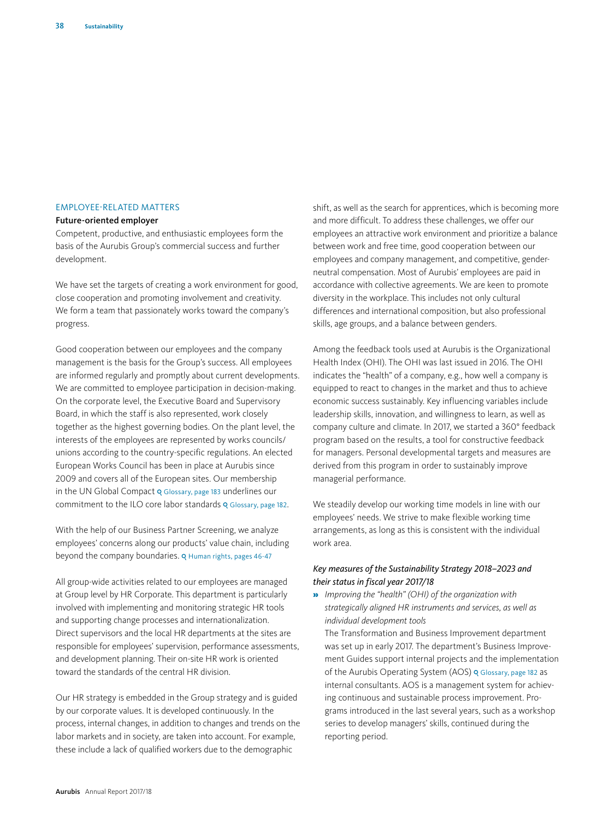## EMPLOYEE-RELATED MATTERS

#### Future-oriented employer

Competent, productive, and enthusiastic employees form the basis of the Aurubis Group's commercial success and further development.

We have set the targets of creating a work environment for good, close cooperation and promoting involvement and creativity. We form a team that passionately works toward the company's progress.

Good cooperation between our employees and the company management is the basis for the Group's success. All employees are informed regularly and promptly about current developments. We are committed to employee participation in decision-making. On the corporate level, the Executive Board and Supervisory Board, in which the staff is also represented, work closely together as the highest governing bodies. On the plant level, the interests of the employees are represented by works councils/ unions according to the country-specific regulations. An elected European Works Council has been in place at Aurubis since 2009 and covers all of the European sites. Our membership in the UN Global Compact Q Glossary, page 183 underlines our commitment to the ILO core labor standards Q Glossary, page 182.

With the help of our Business Partner Screening, we analyze employees' concerns along our products' value chain, including beyond the company boundaries. Q Human rights, pages 46-47

All group-wide activities related to our employees are managed at Group level by HR Corporate. This department is particularly involved with implementing and monitoring strategic HR tools and supporting change processes and internationalization. Direct supervisors and the local HR departments at the sites are responsible for employees' supervision, performance assessments, and development planning. Their on-site HR work is oriented toward the standards of the central HR division.

Our HR strategy is embedded in the Group strategy and is guided by our corporate values. It is developed continuously. In the process, internal changes, in addition to changes and trends on the labor markets and in society, are taken into account. For example, these include a lack of qualified workers due to the demographic

shift, as well as the search for apprentices, which is becoming more and more difficult. To address these challenges, we offer our employees an attractive work environment and prioritize a balance between work and free time, good cooperation between our employees and company management, and competitive, genderneutral compensation. Most of Aurubis' employees are paid in accordance with collective agreements. We are keen to promote diversity in the workplace. This includes not only cultural differences and international composition, but also professional skills, age groups, and a balance between genders.

Among the feedback tools used at Aurubis is the Organizational Health Index (OHI). The OHI was last issued in 2016. The OHI indicates the "health" of a company, e.g., how well a company is equipped to react to changes in the market and thus to achieve economic success sustainably. Key influencing variables include leadership skills, innovation, and willingness to learn, as well as company culture and climate. In 2017, we started a 360° feedback program based on the results, a tool for constructive feedback for managers. Personal developmental targets and measures are derived from this program in order to sustainably improve managerial performance.

We steadily develop our working time models in line with our employees' needs. We strive to make flexible working time arrangements, as long as this is consistent with the individual work area.

## *Key measures of the Sustainability Strategy 2018–2023 and their status in fiscal year 2017/18*

» *Improving the "health" (OHI) of the organization with strategically aligned HR instruments and services, as well as individual development tools* 

The Transformation and Business Improvement department was set up in early 2017. The department's Business Improvement Guides support internal projects and the implementation of the Aurubis Operating System (AOS) Q Glossary, page 182 as internal consultants. AOS is a management system for achieving continuous and sustainable process improvement. Programs introduced in the last several years, such as a workshop series to develop managers' skills, continued during the reporting period.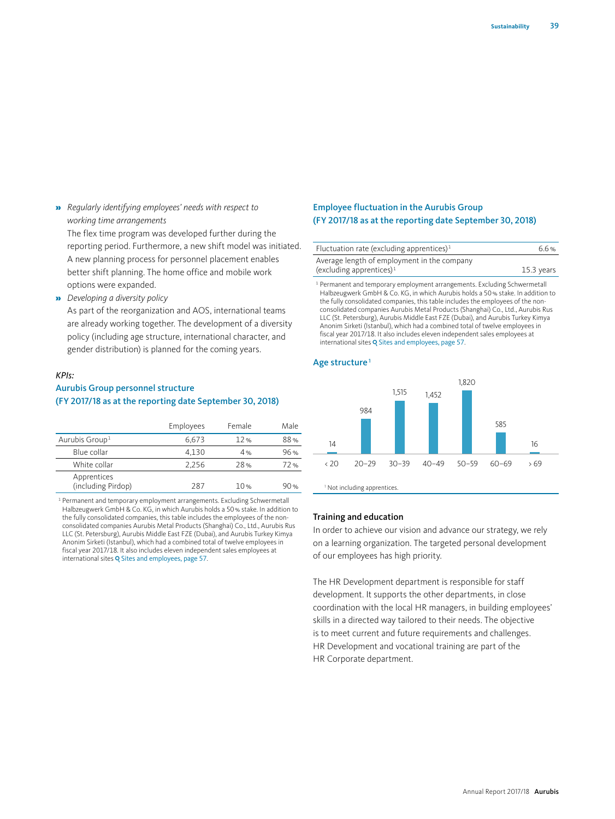» *Regularly identifying employees' needs with respect to working time arrangements* 

The flex time program was developed further during the reporting period. Furthermore, a new shift model was initiated. A new planning process for personnel placement enables better shift planning. The home office and mobile work options were expanded.

» *Developing a diversity policy* 

As part of the reorganization and AOS, international teams are already working together. The development of a diversity policy (including age structure, international character, and gender distribution) is planned for the coming years.

#### *KPIs:*

## Aurubis Group personnel structure (FY 2017/18 as at the reporting date September 30, 2018)

|                                   | Employees | Female | Male |
|-----------------------------------|-----------|--------|------|
| Aurubis Group <sup>1</sup>        | 6,673     | 12%    | 88%  |
| Blue collar                       | 4.130     | 4%     | 96%  |
| White collar                      | 2.256     | 28%    | 72%  |
| Apprentices<br>(including Pirdop) | 287       | 10%    | 90 % |

<sup>1</sup> Permanent and temporary employment arrangements. Excluding Schwermetall Halbzeugwerk GmbH & Co. KG, in which Aurubis holds a 50% stake. In addition to the fully consolidated companies, this table includes the employees of the nonconsolidated companies Aurubis Metal Products (Shanghai) Co., Ltd., Aurubis Rus LLC (St. Petersburg), Aurubis Middle East FZE (Dubai), and Aurubis Turkey Kimya Anonim Sirketi (Istanbul), which had a combined total of twelve employees in fiscal year 2017/18. It also includes eleven independent sales employees at international sites Q Sites and employees, page 57.

## Employee fluctuation in the Aurubis Group (FY 2017/18 as at the reporting date September 30, 2018)

| Fluctuation rate (excluding apprentices) $1$ | 6.6%         |
|----------------------------------------------|--------------|
| Average length of employment in the company  |              |
| (excluding apprentices) $1$                  | $15.3$ years |

<sup>1</sup> Permanent and temporary employment arrangements. Excluding Schwermetal Halbzeugwerk GmbH & Co. KG, in which Aurubis holds a 50% stake. In addition to the fully consolidated companies, this table includes the employees of the nonconsolidated companies Aurubis Metal Products (Shanghai) Co., Ltd., Aurubis Rus LLC (St. Petersburg), Aurubis Middle East FZE (Dubai), and Aurubis Turkey Kimya Anonim Sirketi (Istanbul), which had a combined total of twelve employees in fiscal year 2017/18. It also includes eleven independent sales employees at international sites Q Sites and employees, page 57.

### Age structure<sup>1</sup>



# Training and education

In order to achieve our vision and advance our strategy, we rely on a learning organization. The targeted personal development of our employees has high priority.

The HR Development department is responsible for staff development. It supports the other departments, in close coordination with the local HR managers, in building employees' skills in a directed way tailored to their needs. The objective is to meet current and future requirements and challenges. HR Development and vocational training are part of the HR Corporate department.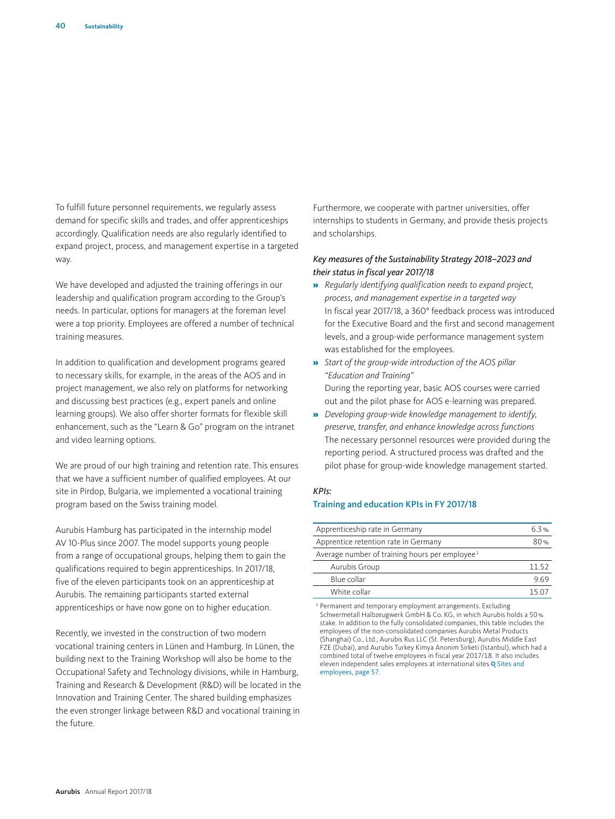To fulfill future personnel requirements, we regularly assess demand for specific skills and trades, and offer apprenticeships accordingly. Qualification needs are also regularly identified to expand project, process, and management expertise in a targeted way.

We have developed and adjusted the training offerings in our leadership and qualification program according to the Group's needs. In particular, options for managers at the foreman level were a top priority. Employees are offered a number of technical training measures.

In addition to qualification and development programs geared to necessary skills, for example, in the areas of the AOS and in project management, we also rely on platforms for networking and discussing best practices (e.g., expert panels and online learning groups). We also offer shorter formats for flexible skill enhancement, such as the "Learn & Go" program on the intranet and video learning options.

We are proud of our high training and retention rate. This ensures that we have a sufficient number of qualified employees. At our site in Pirdop, Bulgaria, we implemented a vocational training program based on the Swiss training model.

Aurubis Hamburg has participated in the internship model AV 10-Plus since 2007. The model supports young people from a range of occupational groups, helping them to gain the qualifications required to begin apprenticeships. In 2017/18, five of the eleven participants took on an apprenticeship at Aurubis. The remaining participants started external apprenticeships or have now gone on to higher education.

Recently, we invested in the construction of two modern vocational training centers in Lünen and Hamburg. In Lünen, the building next to the Training Workshop will also be home to the Occupational Safety and Technology divisions, while in Hamburg, Training and Research & Development (R&D) will be located in the Innovation and Training Center. The shared building emphasizes the even stronger linkage between R&D and vocational training in the future.

Furthermore, we cooperate with partner universities, offer internships to students in Germany, and provide thesis projects and scholarships.

## *Key measures of the Sustainability Strategy 2018–2023 and their status in fiscal year 2017/18*

- » *Regularly identifying qualification needs to expand project, process, and management expertise in a targeted way* In fiscal year 2017/18, a 360° feedback process was introduced for the Executive Board and the first and second management levels, and a group-wide performance management system was established for the employees.
- » *Start of the group-wide introduction of the AOS pillar "Education and Training"* During the reporting year, basic AOS courses were carried out and the pilot phase for AOS e-learning was prepared.
- » *Developing group-wide knowledge management to identify, preserve, transfer, and enhance knowledge across functions*  The necessary personnel resources were provided during the reporting period. A structured process was drafted and the pilot phase for group-wide knowledge management started.

# *KPIs:*

#### Training and education KPIs in FY 2017/18

| Apprenticeship rate in Germany                             | 63%   |
|------------------------------------------------------------|-------|
| Apprentice retention rate in Germany                       | 80%   |
| Average number of training hours per employee <sup>1</sup> |       |
| Aurubis Group                                              | 1152  |
| Blue collar                                                | 9.69  |
| White collar                                               | 15 U. |

<sup>1</sup> Permanent and temporary employment arrangements. Excluding Schwermetall Halbzeugwerk GmbH & Co. KG, in which Aurubis holds a 50% stake. In addition to the fully consolidated companies, this table includes the employees of the non-consolidated companies Aurubis Metal Products (Shanghai) Co., Ltd., Aurubis Rus LLC (St. Petersburg), Aurubis Middle East FZE (Dubai), and Aurubis Turkey Kimya Anonim Sirketi (Istanbul), which had a combined total of twelve employees in fiscal year 2017/18. It also includes eleven independent sales employees at international sites Q Sites and employees, page 57.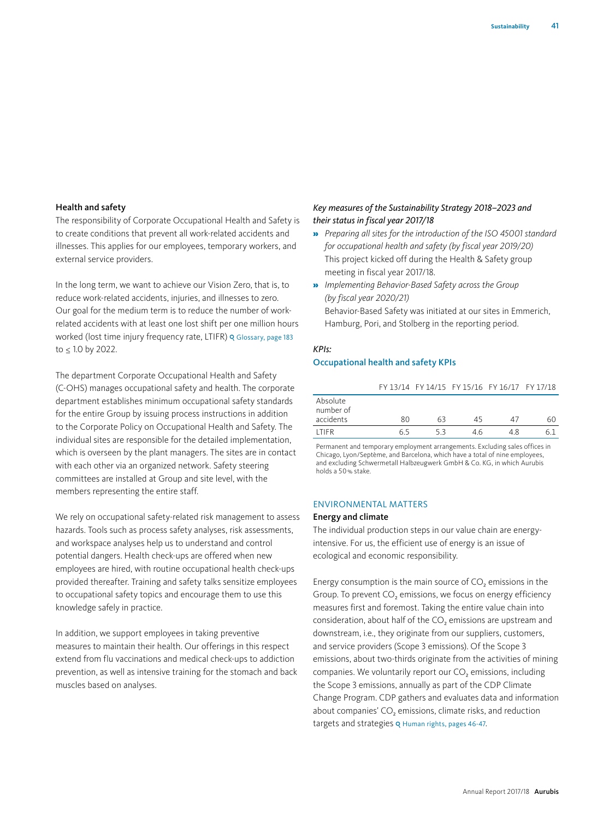#### Health and safety

The responsibility of Corporate Occupational Health and Safety is to create conditions that prevent all work-related accidents and illnesses. This applies for our employees, temporary workers, and external service providers.

In the long term, we want to achieve our Vision Zero, that is, to reduce work-related accidents, injuries, and illnesses to zero. Our goal for the medium term is to reduce the number of workrelated accidents with at least one lost shift per one million hours worked (lost time injury frequency rate, LTIFR) o Glossary, page 183 to ≤ 1.0 by 2022.

The department Corporate Occupational Health and Safety (C-OHS) manages occupational safety and health. The corporate department establishes minimum occupational safety standards for the entire Group by issuing process instructions in addition to the Corporate Policy on Occupational Health and Safety. The individual sites are responsible for the detailed implementation, which is overseen by the plant managers. The sites are in contact with each other via an organized network. Safety steering committees are installed at Group and site level, with the members representing the entire staff.

We rely on occupational safety-related risk management to assess hazards. Tools such as process safety analyses, risk assessments, and workspace analyses help us to understand and control potential dangers. Health check-ups are offered when new employees are hired, with routine occupational health check-ups provided thereafter. Training and safety talks sensitize employees to occupational safety topics and encourage them to use this knowledge safely in practice.

In addition, we support employees in taking preventive measures to maintain their health. Our offerings in this respect extend from flu vaccinations and medical check-ups to addiction prevention, as well as intensive training for the stomach and back muscles based on analyses.

## *Key measures of the Sustainability Strategy 2018–2023 and their status in fiscal year 2017/18*

- » *Preparing all sites for the introduction of the ISO 45001 standard for occupational health and safety (by fiscal year 2019/20)* This project kicked off during the Health & Safety group meeting in fiscal year 2017/18.
- » *Implementing Behavior-Based Safety across the Group (by fiscal year 2020/21)* Behavior-Based Safety was initiated at our sites in Emmerich, Hamburg, Pori, and Stolberg in the reporting period.

## *KPIs:* Occupational health and safety KPIs

#### FY 13/14 FY 14/15 FY 15/16 FY 16/17 FY 17/18

| Absolute<br>number of |    |    |    |    |  |
|-----------------------|----|----|----|----|--|
| accidents             | RΛ | 63 | 45 |    |  |
| <b>ITIFR</b>          | 65 |    | 46 | 48 |  |

Permanent and temporary employment arrangements. Excluding sales offices in Chicago, Lyon/Septème, and Barcelona, which have a total of nine employees, and excluding Schwermetall Halbzeugwerk GmbH & Co. KG, in which Aurubis holds a 50% stake.

#### ENVIRONMENTAL MATTERS

#### Energy and climate

The individual production steps in our value chain are energyintensive. For us, the efficient use of energy is an issue of ecological and economic responsibility.

Energy consumption is the main source of  $CO<sub>2</sub>$  emissions in the Group. To prevent CO<sub>2</sub> emissions, we focus on energy efficiency measures first and foremost. Taking the entire value chain into consideration, about half of the CO<sub>2</sub> emissions are upstream and downstream, i.e., they originate from our suppliers, customers, and service providers (Scope 3 emissions). Of the Scope 3 emissions, about two-thirds originate from the activities of mining companies. We voluntarily report our  $CO<sub>2</sub>$  emissions, including the Scope 3 emissions, annually as part of the CDP Climate Change Program. CDP gathers and evaluates data and information about companies'  $CO<sub>2</sub>$  emissions, climate risks, and reduction targets and strategies Q Human rights, pages 46-47.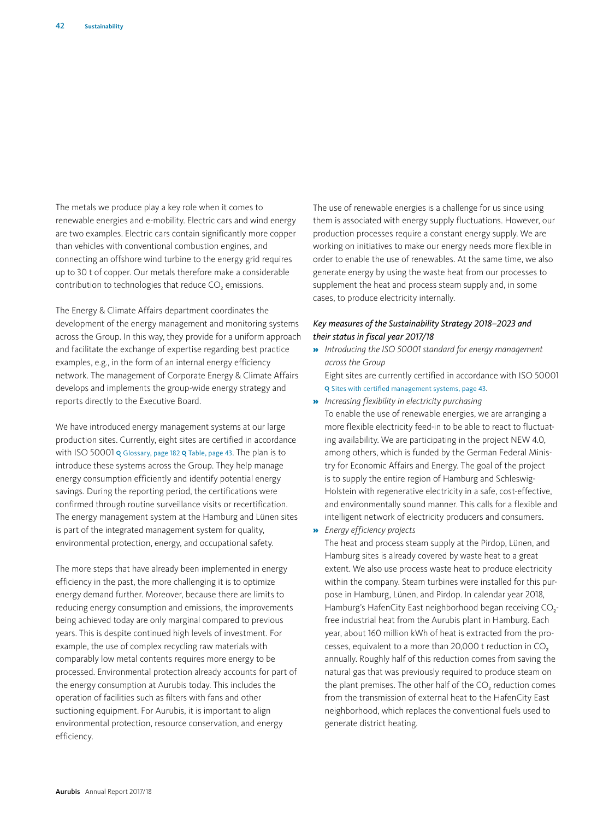The metals we produce play a key role when it comes to renewable energies and e-mobility. Electric cars and wind energy are two examples. Electric cars contain significantly more copper than vehicles with conventional combustion engines, and connecting an offshore wind turbine to the energy grid requires up to 30 t of copper. Our metals therefore make a considerable contribution to technologies that reduce CO<sub>2</sub> emissions.

The Energy & Climate Affairs department coordinates the development of the energy management and monitoring systems across the Group. In this way, they provide for a uniform approach and facilitate the exchange of expertise regarding best practice examples, e.g., in the form of an internal energy efficiency network. The management of Corporate Energy & Climate Affairs develops and implements the group-wide energy strategy and reports directly to the Executive Board.

We have introduced energy management systems at our large production sites. Currently, eight sites are certified in accordance with ISO 50001 Q Glossary, page 182 Q Table, page 43. The plan is to introduce these systems across the Group. They help manage energy consumption efficiently and identify potential energy savings. During the reporting period, the certifications were confirmed through routine surveillance visits or recertification. The energy management system at the Hamburg and Lünen sites is part of the integrated management system for quality, environmental protection, energy, and occupational safety.

The more steps that have already been implemented in energy efficiency in the past, the more challenging it is to optimize energy demand further. Moreover, because there are limits to reducing energy consumption and emissions, the improvements being achieved today are only marginal compared to previous years. This is despite continued high levels of investment. For example, the use of complex recycling raw materials with comparably low metal contents requires more energy to be processed. Environmental protection already accounts for part of the energy consumption at Aurubis today. This includes the operation of facilities such as filters with fans and other suctioning equipment. For Aurubis, it is important to align environmental protection, resource conservation, and energy efficiency.

The use of renewable energies is a challenge for us since using them is associated with energy supply fluctuations. However, our production processes require a constant energy supply. We are working on initiatives to make our energy needs more flexible in order to enable the use of renewables. At the same time, we also generate energy by using the waste heat from our processes to supplement the heat and process steam supply and, in some cases, to produce electricity internally.

## *Key measures of the Sustainability Strategy 2018–2023 and their status in fiscal year 2017/18*

- » *Introducing the ISO 50001 standard for energy management across the Group* Eight sites are currently certified in accordance with ISO 50001
	- Q Sites with certified management systems, page 43.
- » *Increasing flexibility in electricity purchasing*  To enable the use of renewable energies, we are arranging a more flexible electricity feed-in to be able to react to fluctuating availability. We are participating in the project NEW 4.0, among others, which is funded by the German Federal Ministry for Economic Affairs and Energy. The goal of the project is to supply the entire region of Hamburg and Schleswig-Holstein with regenerative electricity in a safe, cost-effective, and environmentally sound manner. This calls for a flexible and intelligent network of electricity producers and consumers.
- » *Energy efficiency projects*

The heat and process steam supply at the Pirdop, Lünen, and Hamburg sites is already covered by waste heat to a great extent. We also use process waste heat to produce electricity within the company. Steam turbines were installed for this purpose in Hamburg, Lünen, and Pirdop. In calendar year 2018, Hamburg's HafenCity East neighborhood began receiving CO<sub>2</sub>free industrial heat from the Aurubis plant in Hamburg. Each year, about 160 million kWh of heat is extracted from the processes, equivalent to a more than 20,000 t reduction in CO<sub>2</sub> annually. Roughly half of this reduction comes from saving the natural gas that was previously required to produce steam on the plant premises. The other half of the CO<sub>2</sub> reduction comes from the transmission of external heat to the HafenCity East neighborhood, which replaces the conventional fuels used to generate district heating.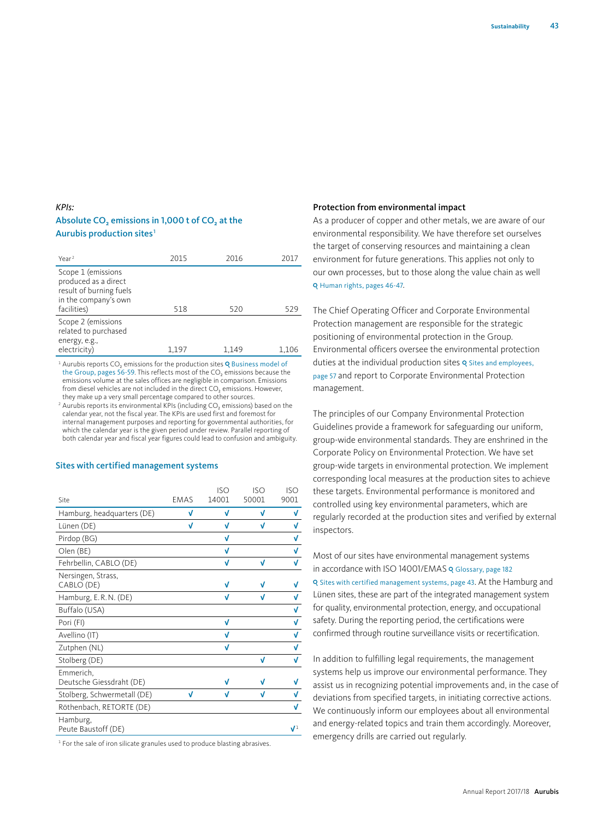## *KPIs:*  Absolute CO<sub>2</sub> emissions in 1,000 t of CO<sub>2</sub> at the Aurubis production sites<sup>1</sup>

| Year <sup>2</sup>                                                                                            | 2015  | 2016  | 2017  |
|--------------------------------------------------------------------------------------------------------------|-------|-------|-------|
| Scope 1 (emissions<br>produced as a direct<br>result of burning fuels<br>in the company's own<br>facilities) | 518   | 520   | 529   |
| Scope 2 (emissions<br>related to purchased<br>energy, e.g.,<br>electricity)                                  | 1,197 | 1.149 | 1,106 |

 $1$  Aurubis reports CO<sub>2</sub> emissions for the production sites Q Business model of the Group, pages 56-59. This reflects most of the  $CO<sub>2</sub>$  emissions because the emissions volume at the sales offices are negligible in comparison. Emissions from diesel vehicles are not included in the direct  $CO<sub>2</sub>$  emissions. However, they make up a very small percentage compared to other sources.

<sup>2</sup> Aurubis reports its environmental KPIs (including  $CO<sub>2</sub>$  emissions) based on the calendar year, not the fiscal year. The KPIs are used first and foremost for internal management purposes and reporting for governmental authorities, for which the calendar year is the given period under review. Parallel reporting of both calendar year and fiscal year figures could lead to confusion and ambiguity.

#### Sites with certified management systems

| Site                                  | <b>EMAS</b> | <b>ISO</b><br>14001 | <b>ISO</b><br>50001 | <b>ISO</b><br>9001 |
|---------------------------------------|-------------|---------------------|---------------------|--------------------|
| Hamburg, headquarters (DE)            | V           | V                   | V                   | V                  |
| Lünen (DE)                            | V           | V                   | V                   | V                  |
| Pirdop (BG)                           |             | V                   |                     | V                  |
| Olen (BE)                             |             | V                   |                     | V                  |
| Fehrbellin, CABLO (DE)                |             | V                   | V                   | V                  |
| Nersingen, Strass,<br>CABLO (DE)      |             | V                   |                     |                    |
| Hamburg, E.R.N. (DE)                  |             | V                   | V                   | V                  |
| Buffalo (USA)                         |             |                     |                     | V                  |
| Pori (FI)                             |             | V                   |                     | V                  |
| Avellino (IT)                         |             | V                   |                     | V                  |
| Zutphen (NL)                          |             | V                   |                     | V                  |
| Stolberg (DE)                         |             |                     | V                   | V                  |
| Emmerich,<br>Deutsche Giessdraht (DE) |             | V                   |                     |                    |
| Stolberg, Schwermetall (DE)           | V           | V                   |                     |                    |
| Röthenbach, RETORTE (DE)              |             |                     |                     | V                  |
| Hamburg,<br>Peute Baustoff (DE)       |             |                     |                     | $\mathbf{V}^1$     |

<sup>1</sup> For the sale of iron silicate granules used to produce blasting abrasives.

#### Protection from environmental impact

As a producer of copper and other metals, we are aware of our environmental responsibility. We have therefore set ourselves the target of conserving resources and maintaining a clean environment for future generations. This applies not only to our own processes, but to those along the value chain as well Q Human rights, pages 46-47.

The Chief Operating Officer and Corporate Environmental Protection management are responsible for the strategic positioning of environmental protection in the Group. Environmental officers oversee the environmental protection duties at the individual production sites Q Sites and employees, page 57 and report to Corporate Environmental Protection management.

The principles of our Company Environmental Protection Guidelines provide a framework for safeguarding our uniform, group-wide environmental standards. They are enshrined in the Corporate Policy on Environmental Protection. We have set group-wide targets in environmental protection. We implement corresponding local measures at the production sites to achieve these targets. Environmental performance is monitored and controlled using key environmental parameters, which are regularly recorded at the production sites and verified by external inspectors.

Most of our sites have environmental management systems in accordance with ISO 14001/EMAS Q Glossary, page 182 Q Sites with certified management systems, page 43. At the Hamburg and Lünen sites, these are part of the integrated management system for quality, environmental protection, energy, and occupational safety. During the reporting period, the certifications were confirmed through routine surveillance visits or recertification.

In addition to fulfilling legal requirements, the management systems help us improve our environmental performance. They assist us in recognizing potential improvements and, in the case of deviations from specified targets, in initiating corrective actions. We continuously inform our employees about all environmental and energy-related topics and train them accordingly. Moreover, emergency drills are carried out regularly.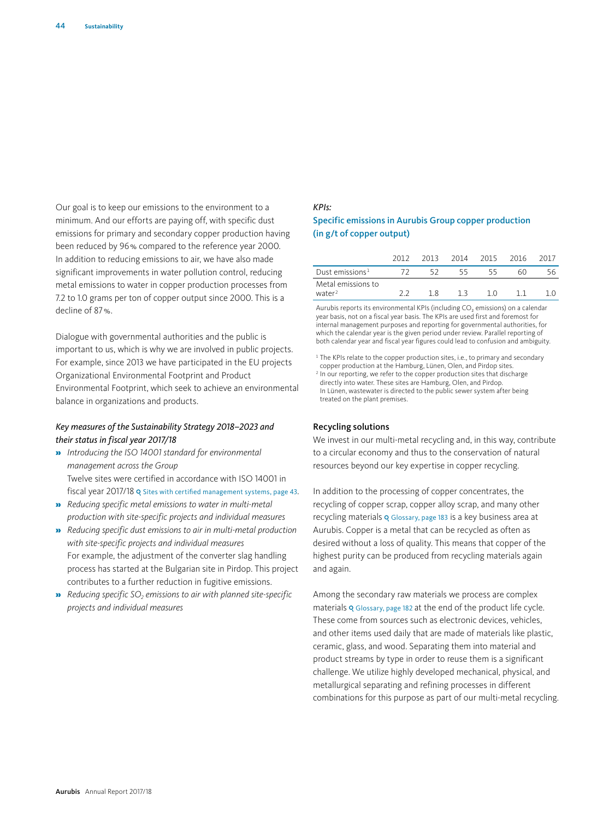Our goal is to keep our emissions to the environment to a minimum. And our efforts are paying off, with specific dust emissions for primary and secondary copper production having been reduced by 96% compared to the reference year 2000. In addition to reducing emissions to air, we have also made significant improvements in water pollution control, reducing metal emissions to water in copper production processes from 7.2 to 1.0 grams per ton of copper output since 2000. This is a decline of 87%.

Dialogue with governmental authorities and the public is important to us, which is why we are involved in public projects. For example, since 2013 we have participated in the EU projects Organizational Environmental Footprint and Product Environmental Footprint, which seek to achieve an environmental balance in organizations and products.

### *Key measures of the Sustainability Strategy 2018–2023 and their status in fiscal year 2017/18*

- » *Introducing the ISO 14001 standard for environmental management across the Group* Twelve sites were certified in accordance with ISO 14001 in fiscal year 2017/18 Q Sites with certified management systems, page 43.
- » *Reducing specific metal emissions to water in multi-metal production with site-specific projects and individual measures*
- » *Reducing specific dust emissions to air in multi-metal production with site-specific projects and individual measures* For example, the adjustment of the converter slag handling process has started at the Bulgarian site in Pirdop. This project contributes to a further reduction in fugitive emissions.
- **»** *Reducing specific SO<sub>2</sub> emissions to air with planned site-specific projects and individual measures*

## *KPIs:*  Specific emissions in Aurubis Group copper production (in g/t of copper output)

|                                          | 2012 | 2013 | 2014 | 2015 | 2016 | 2017 |
|------------------------------------------|------|------|------|------|------|------|
| Dust emissions <sup>1</sup>              |      |      | 55   |      | 60   | 56.  |
| Metal emissions to<br>water <sup>2</sup> |      | 18   |      | 1 ∩  |      |      |

Aurubis reports its environmental KPIs (including  $CO<sub>2</sub>$  emissions) on a calendar year basis, not on a fiscal year basis. The KPIs are used first and foremost for internal management purposes and reporting for governmental authorities, for which the calendar year is the given period under review. Parallel reporting of both calendar year and fiscal year figures could lead to confusion and ambiguity.

<sup>1</sup> The KPIs relate to the copper production sites, i.e., to primary and secondary copper production at the Hamburg, Lünen, Olen, and Pirdop sites. <sup>2</sup> In our reporting, we refer to the copper production sites that discharge

directly into water. These sites are Hamburg, Olen, and Pirdop. In Lünen, wastewater is directed to the public sewer system after being treated on the plant premises.

#### Recycling solutions

We invest in our multi-metal recycling and, in this way, contribute to a circular economy and thus to the conservation of natural resources beyond our key expertise in copper recycling.

In addition to the processing of copper concentrates, the recycling of copper scrap, copper alloy scrap, and many other recycling materials Q Glossary, page 183 is a key business area at Aurubis. Copper is a metal that can be recycled as often as desired without a loss of quality. This means that copper of the highest purity can be produced from recycling materials again and again.

Among the secondary raw materials we process are complex materials Q Glossary, page 182 at the end of the product life cycle. These come from sources such as electronic devices, vehicles, and other items used daily that are made of materials like plastic, ceramic, glass, and wood. Separating them into material and product streams by type in order to reuse them is a significant challenge. We utilize highly developed mechanical, physical, and metallurgical separating and refining processes in different combinations for this purpose as part of our multi-metal recycling.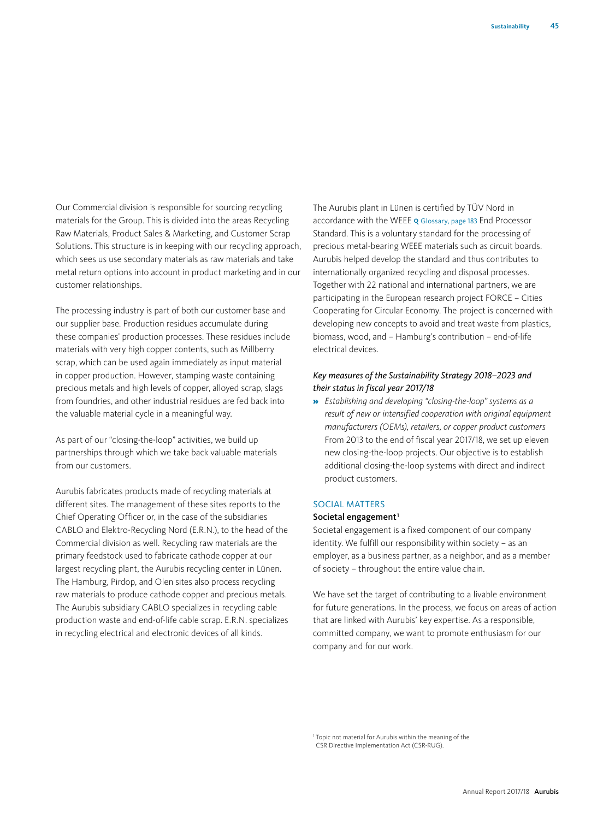Our Commercial division is responsible for sourcing recycling materials for the Group. This is divided into the areas Recycling Raw Materials, Product Sales & Marketing, and Customer Scrap Solutions. This structure is in keeping with our recycling approach, which sees us use secondary materials as raw materials and take metal return options into account in product marketing and in our customer relationships.

The processing industry is part of both our customer base and our supplier base. Production residues accumulate during these companies' production processes. These residues include materials with very high copper contents, such as Millberry scrap, which can be used again immediately as input material in copper production. However, stamping waste containing precious metals and high levels of copper, alloyed scrap, slags from foundries, and other industrial residues are fed back into the valuable material cycle in a meaningful way.

As part of our "closing-the-loop" activities, we build up partnerships through which we take back valuable materials from our customers.

Aurubis fabricates products made of recycling materials at different sites. The management of these sites reports to the Chief Operating Officer or, in the case of the subsidiaries CABLO and Elektro-Recycling Nord (E.R.N.), to the head of the Commercial division as well. Recycling raw materials are the primary feedstock used to fabricate cathode copper at our largest recycling plant, the Aurubis recycling center in Lünen. The Hamburg, Pirdop, and Olen sites also process recycling raw materials to produce cathode copper and precious metals. The Aurubis subsidiary CABLO specializes in recycling cable production waste and end-of-life cable scrap. E.R.N. specializes in recycling electrical and electronic devices of all kinds.

The Aurubis plant in Lünen is certified by TÜV Nord in accordance with the WEEE Q Glossary, page 183 End Processor Standard. This is a voluntary standard for the processing of precious metal-bearing WEEE materials such as circuit boards. Aurubis helped develop the standard and thus contributes to internationally organized recycling and disposal processes. Together with 22 national and international partners, we are participating in the European research project FORCE – Cities Cooperating for Circular Economy. The project is concerned with developing new concepts to avoid and treat waste from plastics, biomass, wood, and – Hamburg's contribution – end-of-life electrical devices.

## *Key measures of the Sustainability Strategy 2018–2023 and their status in fiscal year 2017/18*

» *Establishing and developing "closing-the-loop" systems as a result of new or intensified cooperation with original equipment manufacturers (OEMs), retailers, or copper product customers* From 2013 to the end of fiscal year 2017/18, we set up eleven new closing-the-loop projects. Our objective is to establish additional closing-the-loop systems with direct and indirect product customers.

## SOCIAL MATTERS

#### Societal engagement $1$

Societal engagement is a fixed component of our company identity. We fulfill our responsibility within society – as an employer, as a business partner, as a neighbor, and as a member of society – throughout the entire value chain.

We have set the target of contributing to a livable environment for future generations. In the process, we focus on areas of action that are linked with Aurubis' key expertise. As a responsible, committed company, we want to promote enthusiasm for our company and for our work.

<sup>1</sup> Topic not material for Aurubis within the meaning of the CSR Directive Implementation Act (CSR-RUG).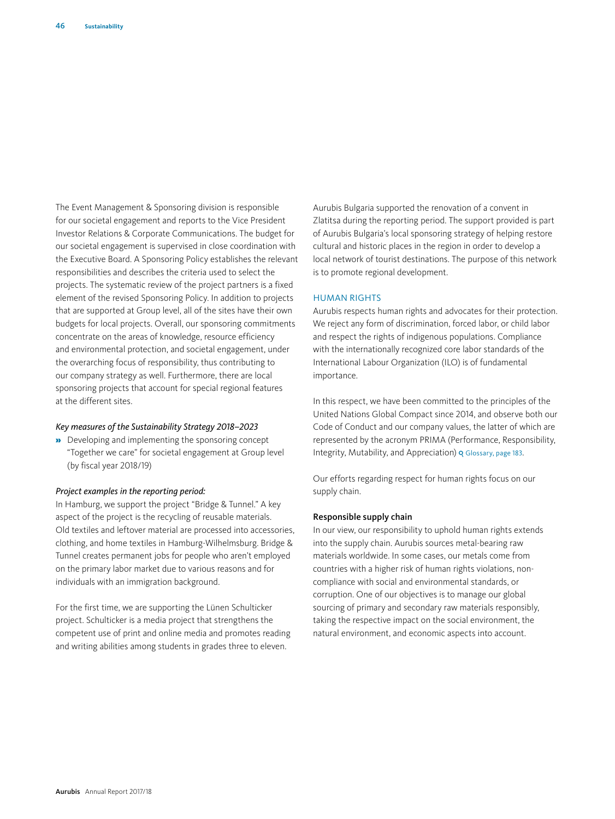The Event Management & Sponsoring division is responsible for our societal engagement and reports to the Vice President Investor Relations & Corporate Communications. The budget for our societal engagement is supervised in close coordination with the Executive Board. A Sponsoring Policy establishes the relevant responsibilities and describes the criteria used to select the projects. The systematic review of the project partners is a fixed element of the revised Sponsoring Policy. In addition to projects that are supported at Group level, all of the sites have their own budgets for local projects. Overall, our sponsoring commitments concentrate on the areas of knowledge, resource efficiency and environmental protection, and societal engagement, under the overarching focus of responsibility, thus contributing to our company strategy as well. Furthermore, there are local sponsoring projects that account for special regional features at the different sites.

#### *Key measures of the Sustainability Strategy 2018–2023*

» Developing and implementing the sponsoring concept "Together we care" for societal engagement at Group level (by fiscal year 2018/19)

#### *Project examples in the reporting period:*

In Hamburg, we support the project "Bridge & Tunnel." A key aspect of the project is the recycling of reusable materials. Old textiles and leftover material are processed into accessories, clothing, and home textiles in Hamburg-Wilhelmsburg. Bridge & Tunnel creates permanent jobs for people who aren't employed on the primary labor market due to various reasons and for individuals with an immigration background.

For the first time, we are supporting the Lünen Schulticker project. Schulticker is a media project that strengthens the competent use of print and online media and promotes reading and writing abilities among students in grades three to eleven.

Aurubis Bulgaria supported the renovation of a convent in Zlatitsa during the reporting period. The support provided is part of Aurubis Bulgaria's local sponsoring strategy of helping restore cultural and historic places in the region in order to develop a local network of tourist destinations. The purpose of this network is to promote regional development.

#### HUMAN RIGHTS

Aurubis respects human rights and advocates for their protection. We reject any form of discrimination, forced labor, or child labor and respect the rights of indigenous populations. Compliance with the internationally recognized core labor standards of the International Labour Organization (ILO) is of fundamental importance.

In this respect, we have been committed to the principles of the United Nations Global Compact since 2014, and observe both our Code of Conduct and our company values, the latter of which are represented by the acronym PRIMA (Performance, Responsibility, Integrity, Mutability, and Appreciation) & Glossary, page 183.

Our efforts regarding respect for human rights focus on our supply chain.

#### Responsible supply chain

In our view, our responsibility to uphold human rights extends into the supply chain. Aurubis sources metal-bearing raw materials worldwide. In some cases, our metals come from countries with a higher risk of human rights violations, noncompliance with social and environmental standards, or corruption. One of our objectives is to manage our global sourcing of primary and secondary raw materials responsibly, taking the respective impact on the social environment, the natural environment, and economic aspects into account.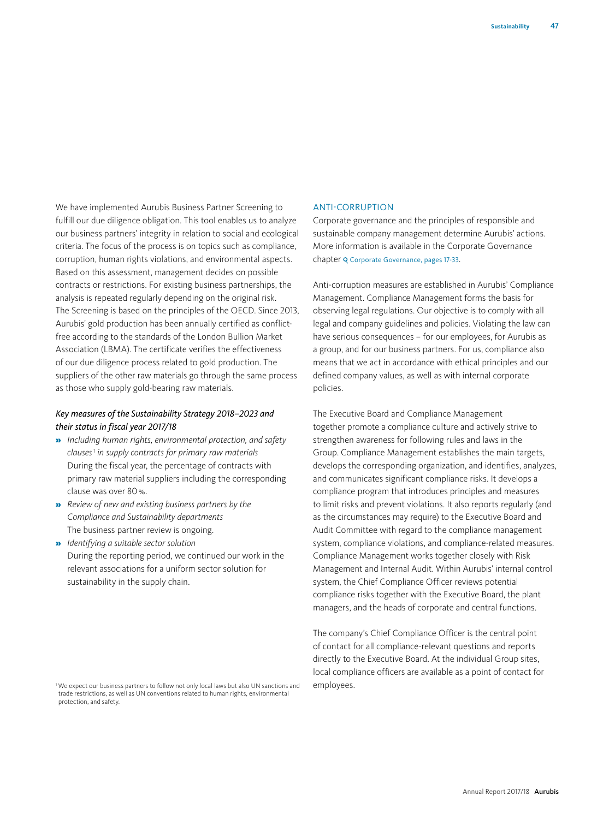We have implemented Aurubis Business Partner Screening to fulfill our due diligence obligation. This tool enables us to analyze our business partners' integrity in relation to social and ecological criteria. The focus of the process is on topics such as compliance, corruption, human rights violations, and environmental aspects. Based on this assessment, management decides on possible contracts or restrictions. For existing business partnerships, the analysis is repeated regularly depending on the original risk. The Screening is based on the principles of the OECD. Since 2013, Aurubis' gold production has been annually certified as conflictfree according to the standards of the London Bullion Market Association (LBMA). The certificate verifies the effectiveness of our due diligence process related to gold production. The suppliers of the other raw materials go through the same process as those who supply gold-bearing raw materials.

## *Key measures of the Sustainability Strategy 2018–2023 and their status in fiscal year 2017/18*

- » *Including human rights, environmental protection, and safety clauses1 in supply contracts for primary raw materials* During the fiscal year, the percentage of contracts with primary raw material suppliers including the corresponding clause was over 80%.
- » *Review of new and existing business partners by the Compliance and Sustainability departments* The business partner review is ongoing.
- » *Identifying a suitable sector solution*  During the reporting period, we continued our work in the relevant associations for a uniform sector solution for sustainability in the supply chain.

## ANTI-CORRUPTION

Corporate governance and the principles of responsible and sustainable company management determine Aurubis' actions. More information is available in the Corporate Governance chapter Q Corporate Governance, pages 17-33.

Anti-corruption measures are established in Aurubis' Compliance Management. Compliance Management forms the basis for observing legal regulations. Our objective is to comply with all legal and company guidelines and policies. Violating the law can have serious consequences – for our employees, for Aurubis as a group, and for our business partners. For us, compliance also means that we act in accordance with ethical principles and our defined company values, as well as with internal corporate policies.

The Executive Board and Compliance Management together promote a compliance culture and actively strive to strengthen awareness for following rules and laws in the Group. Compliance Management establishes the main targets, develops the corresponding organization, and identifies, analyzes, and communicates significant compliance risks. It develops a compliance program that introduces principles and measures to limit risks and prevent violations. It also reports regularly (and as the circumstances may require) to the Executive Board and Audit Committee with regard to the compliance management system, compliance violations, and compliance-related measures. Compliance Management works together closely with Risk Management and Internal Audit. Within Aurubis' internal control system, the Chief Compliance Officer reviews potential compliance risks together with the Executive Board, the plant managers, and the heads of corporate and central functions.

The company's Chief Compliance Officer is the central point of contact for all compliance-relevant questions and reports directly to the Executive Board. At the individual Group sites, local compliance officers are available as a point of contact for employees.

<sup>&</sup>lt;sup>1</sup> We expect our business partners to follow not only local laws but also UN sanctions and trade restrictions, as well as UN conventions related to human rights, environmental protection, and safety.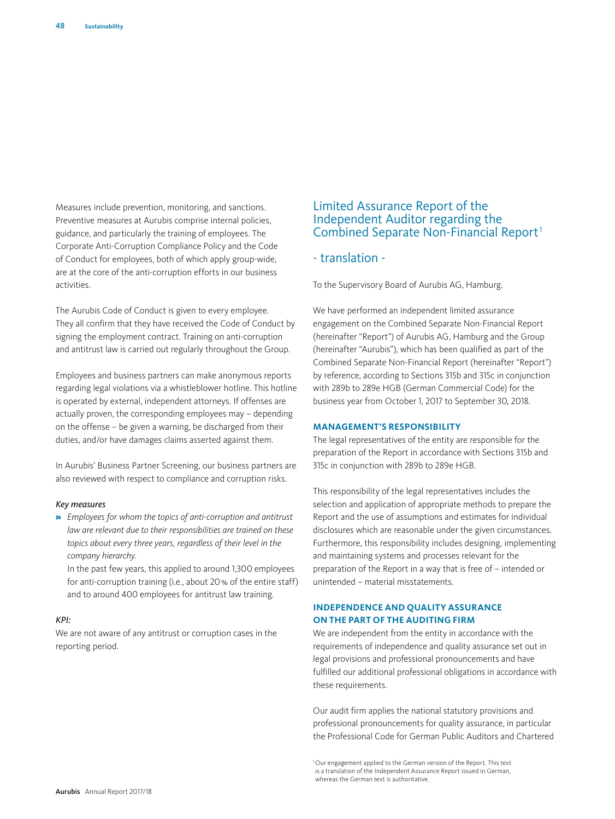Measures include prevention, monitoring, and sanctions. Preventive measures at Aurubis comprise internal policies, guidance, and particularly the training of employees. The Corporate Anti-Corruption Compliance Policy and the Code of Conduct for employees, both of which apply group-wide, are at the core of the anti-corruption efforts in our business activities.

The Aurubis Code of Conduct is given to every employee. They all confirm that they have received the Code of Conduct by signing the employment contract. Training on anti-corruption and antitrust law is carried out regularly throughout the Group.

Employees and business partners can make anonymous reports regarding legal violations via a whistleblower hotline. This hotline is operated by external, independent attorneys. If offenses are actually proven, the corresponding employees may – depending on the offense – be given a warning, be discharged from their duties, and/or have damages claims asserted against them.

In Aurubis' Business Partner Screening, our business partners are also reviewed with respect to compliance and corruption risks.

#### *Key measures*

» *Employees for whom the topics of anti-corruption and antitrust law are relevant due to their responsibilities are trained on these topics about every three years, regardless of their level in the company hierarchy*.

In the past few years, this applied to around 1,300 employees for anti-corruption training (i.e., about 20% of the entire staff) and to around 400 employees for antitrust law training.

#### *KPI:*

We are not aware of any antitrust or corruption cases in the reporting period.

# Limited Assurance Report of the Independent Auditor regarding the Combined Separate Non-Financial Report<sup>1</sup>

# - translation -

To the Supervisory Board of Aurubis AG, Hamburg.

We have performed an independent limited assurance engagement on the Combined Separate Non-Financial Report (hereinafter "Report") of Aurubis AG, Hamburg and the Group (hereinafter "Aurubis"), which has been qualified as part of the Combined Separate Non-Financial Report (hereinafter "Report") by reference, according to Sections 315b and 315c in conjunction with 289b to 289e HGB (German Commercial Code) for the business year from October 1, 2017 to September 30, 2018.

#### **MANAGEMENT'S RESPONSIBILITY**

The legal representatives of the entity are responsible for the preparation of the Report in accordance with Sections 315b and 315c in conjunction with 289b to 289e HGB.

This responsibility of the legal representatives includes the selection and application of appropriate methods to prepare the Report and the use of assumptions and estimates for individual disclosures which are reasonable under the given circumstances. Furthermore, this responsibility includes designing, implementing and maintaining systems and processes relevant for the preparation of the Report in a way that is free of – intended or unintended – material misstatements.

## **INDEPENDENCE AND QUALITY ASSURANCE ON THE PART OF THE AUDITING FIRM**

We are independent from the entity in accordance with the requirements of independence and quality assurance set out in legal provisions and professional pronouncements and have fulfilled our additional professional obligations in accordance with these requirements.

Our audit firm applies the national statutory provisions and professional pronouncements for quality assurance, in particular the Professional Code for German Public Auditors and Chartered

<sup>1</sup>Our engagement applied to the German version of the Report. This text is a translation of the Independent Assurance Report issued in German, whereas the German text is authoritative.